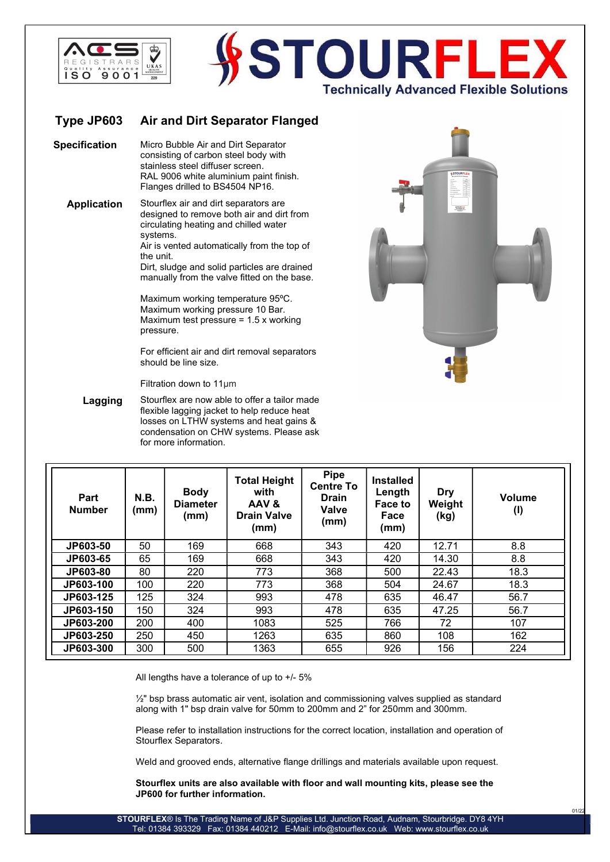

## **STOURF Technically Advanced Flexible Solutions**

## Type JP603 Air and Dirt Separator Flanged

Specification Micro Bubble Air and Dirt Separator consisting of carbon steel body with stainless steel diffuser screen. RAL 9006 white aluminium paint finish. Flanges drilled to BS4504 NP16.

Application Stourflex air and dirt separators are designed to remove both air and dirt from circulating heating and chilled water systems.

Air is vented automatically from the top of the unit.

Dirt, sludge and solid particles are drained manually from the valve fitted on the base.

Maximum working temperature 95ºC. Maximum working pressure 10 Bar. Maximum test pressure = 1.5 x working pressure.

For efficient air and dirt removal separators should be line size.

Filtration down to 11μm

Lagging Stourflex are now able to offer a tailor made flexible lagging jacket to help reduce heat losses on LTHW systems and heat gains & condensation on CHW systems. Please ask for more information.



 $01/2$ 

| Part<br><b>Number</b> | N.B.<br>(mm) | <b>Body</b><br><b>Diameter</b><br>(mm) | <b>Total Height</b><br>with<br>AAV&<br><b>Drain Valve</b><br>(mm) | <b>Pipe</b><br><b>Centre To</b><br><b>Drain</b><br><b>Valve</b><br>(mm) | <b>Installed</b><br>Length<br>Face to<br>Face<br>(mm) | <b>Dry</b><br>Weight<br>(kg) | Volume<br>(1) |
|-----------------------|--------------|----------------------------------------|-------------------------------------------------------------------|-------------------------------------------------------------------------|-------------------------------------------------------|------------------------------|---------------|
| JP603-50              | 50           | 169                                    | 668                                                               | 343                                                                     | 420                                                   | 12.71                        | 8.8           |
| JP603-65              | 65           | 169                                    | 668                                                               | 343                                                                     | 420                                                   | 14.30                        | 8.8           |
| JP603-80              | 80           | 220                                    | 773                                                               | 368                                                                     | 500                                                   | 22.43                        | 18.3          |
| JP603-100             | 100          | 220                                    | 773                                                               | 368                                                                     | 504                                                   | 24.67                        | 18.3          |
| JP603-125             | 125          | 324                                    | 993                                                               | 478                                                                     | 635                                                   | 46.47                        | 56.7          |
| JP603-150             | 150          | 324                                    | 993                                                               | 478                                                                     | 635                                                   | 47.25                        | 56.7          |
| JP603-200             | 200          | 400                                    | 1083                                                              | 525                                                                     | 766                                                   | 72                           | 107           |
| JP603-250             | 250          | 450                                    | 1263                                                              | 635                                                                     | 860                                                   | 108                          | 162           |
| JP603-300             | 300          | 500                                    | 1363                                                              | 655                                                                     | 926                                                   | 156                          | 224           |

All lengths have a tolerance of up to +/- 5%

 $\frac{1}{2}$ " bsp brass automatic air vent, isolation and commissioning valves supplied as standard along with 1" bsp drain valve for 50mm to 200mm and 2" for 250mm and 300mm.

Please refer to installation instructions for the correct location, installation and operation of Stourflex Separators.

Weld and grooved ends, alternative flange drillings and materials available upon request.

Stourflex units are also available with floor and wall mounting kits, please see the JP600 for further information.